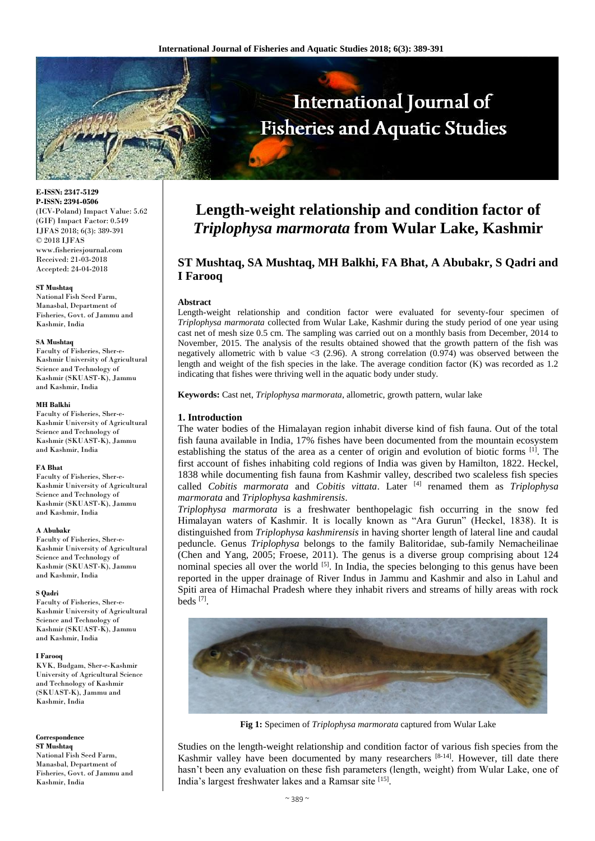

**E-ISSN: 2347-5129 P-ISSN: 2394-0506** (ICV-Poland) Impact Value: 5.62 (GIF) Impact Factor: 0.549 IJFAS 2018; 6(3): 389-391 © 2018 IJFAS www.fisheriesjournal.com Received: 21-03-2018 Accepted: 24-04-2018

#### **ST Mushtaq**

National Fish Seed Farm, Manasbal, Department of Fisheries, Govt. of Jammu and Kashmir, India

#### **SA Mushtaq**

Faculty of Fisheries, Sher-e-Kashmir University of Agricultural Science and Technology of Kashmir (SKUAST-K), Jammu and Kashmir, India

#### **MH Balkhi**

Faculty of Fisheries, Sher-e-Kashmir University of Agricultural Science and Technology of Kashmir (SKUAST-K), Jammu and Kashmir, India

#### **FA Bhat**

Faculty of Fisheries, Sher-e-Kashmir University of Agricultural Science and Technology of Kashmir (SKUAST-K), Jammu and Kashmir, India

#### **A Abubakr**

Faculty of Fisheries, Sher-e-Kashmir University of Agricultural Science and Technology of Kashmir (SKUAST-K), Jammu and Kashmir, India

#### **S Qadri**

Faculty of Fisheries, Sher-e-Kashmir University of Agricultural Science and Technology of Kashmir (SKUAST-K), Jammu and Kashmir, India

#### **I Farooq**

KVK, Budgam, Sher-e-Kashmir University of Agricultural Science and Technology of Kashmir (SKUAST-K), Jammu and Kashmir, India

### **Correspondence**

**ST Mushtaq** National Fish Seed Farm, Manasbal, Department of Fisheries, Govt. of Jammu and Kashmir, India

# **Length-weight relationship and condition factor of**  *Triplophysa marmorata* **from Wular Lake, Kashmir**

# **ST Mushtaq, SA Mushtaq, MH Balkhi, FA Bhat, A Abubakr, S Qadri and I Farooq**

#### **Abstract**

Length-weight relationship and condition factor were evaluated for seventy-four specimen of *Triplophysa marmorata* collected from Wular Lake, Kashmir during the study period of one year using cast net of mesh size 0.5 cm. The sampling was carried out on a monthly basis from December, 2014 to November, 2015. The analysis of the results obtained showed that the growth pattern of the fish was negatively allometric with b value  $\langle 3 \rangle$  (2.96). A strong correlation (0.974) was observed between the length and weight of the fish species in the lake. The average condition factor (K) was recorded as 1.2 indicating that fishes were thriving well in the aquatic body under study.

**Keywords:** Cast net, *Triplophysa marmorata*, allometric, growth pattern, wular lake

#### **1. Introduction**

The water bodies of the Himalayan region inhabit diverse kind of fish fauna. Out of the total fish fauna available in India, 17% fishes have been documented from the mountain ecosystem establishing the status of the area as a center of origin and evolution of biotic forms [1]. The first account of fishes inhabiting cold regions of India was given by Hamilton, 1822. Heckel, 1838 while documenting fish fauna from Kashmir valley, described two scaleless fish species called *Cobitis marmorata* and *Cobitis vittata*. Later <sup>[4]</sup> renamed them as *Triplophysa marmorata* and *Triplophysa kashmirensis*.

*Triplophysa marmorata* is a freshwater benthopelagic fish occurring in the snow fed Himalayan waters of Kashmir. It is locally known as "Ara Gurun" (Heckel, 1838). It is distinguished from *Triplophysa kashmirensis* in having shorter length of lateral line and caudal peduncle. Genus *Triplophysa* belongs to the family Balitoridae, sub-family Nemacheilinae (Chen and Yang, 2005; Froese, 2011). The genus is a diverse group comprising about 124 nominal species all over the world  $[5]$ . In India, the species belonging to this genus have been reported in the upper drainage of River Indus in Jammu and Kashmir and also in Lahul and Spiti area of Himachal Pradesh where they inhabit rivers and streams of hilly areas with rock beds [7] .



**Fig 1:** Specimen of *Triplophysa marmorata* captured from Wular Lake

Studies on the length-weight relationship and condition factor of various fish species from the Kashmir valley have been documented by many researchers [8-14]. However, till date there hasn't been any evaluation on these fish parameters (length, weight) from Wular Lake, one of India's largest freshwater lakes and a Ramsar site [15].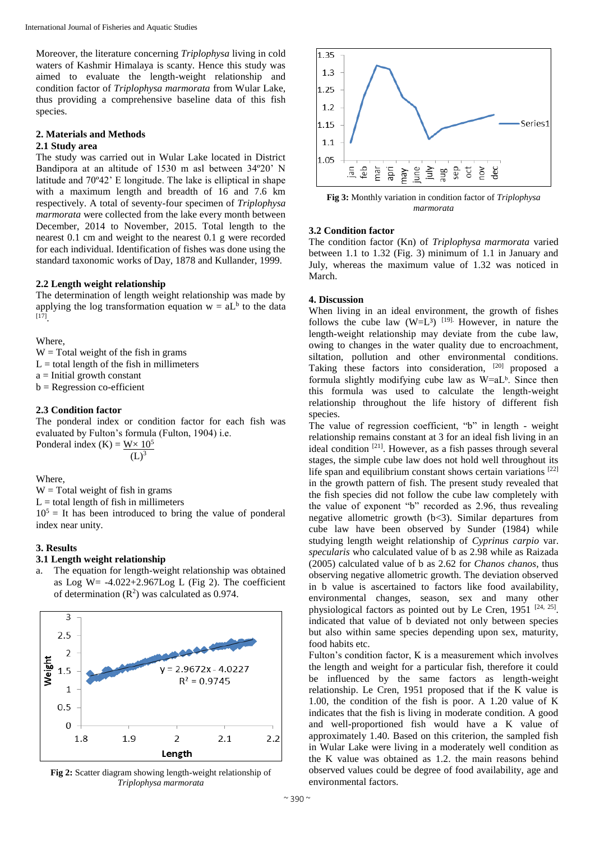Moreover, the literature concerning *Triplophysa* living in cold waters of Kashmir Himalaya is scanty. Hence this study was aimed to evaluate the length-weight relationship and condition factor of *Triplophysa marmorata* from Wular Lake, thus providing a comprehensive baseline data of this fish species.

## **2. Materials and Methods**

## **2.1 Study area**

The study was carried out in Wular Lake located in District Bandipora at an altitude of 1530 m asl between 34º20' N latitude and 70º42' E longitude. The lake is elliptical in shape with a maximum length and breadth of 16 and 7.6 km respectively. A total of seventy-four specimen of *Triplophysa marmorata* were collected from the lake every month between December, 2014 to November, 2015. Total length to the nearest 0.1 cm and weight to the nearest 0.1 g were recorded for each individual. Identification of fishes was done using the standard taxonomic works of Day, 1878 and Kullander, 1999.

## **2.2 Length weight relationship**

The determination of length weight relationship was made by applying the log transformation equation  $w = aL<sup>b</sup>$  to the data [17] .

## Where,

 $W = Total weight of the fish in grams$ 

 $L =$  total length of the fish in millimeters

 $a =$ Initial growth constant

 $b =$ Regression co-efficient

## **2.3 Condition factor**

The ponderal index or condition factor for each fish was evaluated by Fulton's formula (Fulton, 1904) i.e. Ponderal index  $(K) = W \times 10^5$  $(1)^3$ 

Where,

 $W = Total weight of fish in grams$ 

 $L =$  total length of fish in millimeters

 $10<sup>5</sup>$  = It has been introduced to bring the value of ponderal index near unity.

## **3. Results**

## **3.1 Length weight relationship**

The equation for length-weight relationship was obtained as Log W =  $-4.022+2.967$ Log L (Fig 2). The coefficient of determination  $(R^2)$  was calculated as 0.974.



**Fig 2:** Scatter diagram showing length-weight relationship of *Triplophysa marmorata*



**Fig 3:** Monthly variation in condition factor of *Triplophysa marmorata*

## **3.2 Condition factor**

The condition factor (Kn) of *Triplophysa marmorata* varied between 1.1 to 1.32 (Fig. 3) minimum of 1.1 in January and July, whereas the maximum value of 1.32 was noticed in March.

## **4. Discussion**

When living in an ideal environment, the growth of fishes follows the cube law  $(W=L^3)$  <sup>[19]</sup>. However, in nature the length-weight relationship may deviate from the cube law, owing to changes in the water quality due to encroachment, siltation, pollution and other environmental conditions. Taking these factors into consideration, <sup>[20]</sup> proposed a formula slightly modifying cube law as  $W= aL<sup>b</sup>$ . Since then this formula was used to calculate the length-weight relationship throughout the life history of different fish species.

The value of regression coefficient, "b" in length - weight relationship remains constant at 3 for an ideal fish living in an ideal condition <sup>[21]</sup>. However, as a fish passes through several stages, the simple cube law does not hold well throughout its life span and equilibrium constant shows certain variations  $[22]$ in the growth pattern of fish. The present study revealed that the fish species did not follow the cube law completely with the value of exponent "b" recorded as 2.96, thus revealing negative allometric growth (b<3). Similar departures from cube law have been observed by Sunder (1984) while studying length weight relationship of *Cyprinus carpio* var. *specularis* who calculated value of b as 2.98 while as Raizada (2005) calculated value of b as 2.62 for *Chanos chanos*, thus observing negative allometric growth. The deviation observed in b value is ascertained to factors like food availability, environmental changes, season, sex and many other physiological factors as pointed out by Le Cren,  $1951$   $[24, 25]$ . indicated that value of b deviated not only between species but also within same species depending upon sex, maturity, food habits etc.

Fulton's condition factor, K is a measurement which involves the length and weight for a particular fish, therefore it could be influenced by the same factors as length-weight relationship. Le Cren, 1951 proposed that if the K value is 1.00, the condition of the fish is poor. A 1.20 value of K indicates that the fish is living in moderate condition. A good and well-proportioned fish would have a K value of approximately 1.40. Based on this criterion, the sampled fish in Wular Lake were living in a moderately well condition as the K value was obtained as 1.2. the main reasons behind observed values could be degree of food availability, age and environmental factors.